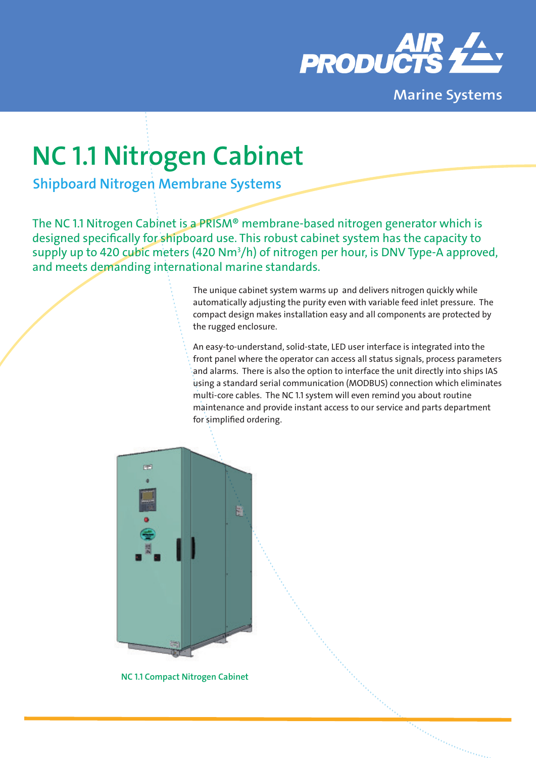

**Marine Systems**

# **NC 1.1 Nitrogen Cabinet**

**Shipboard Nitrogen Membrane Systems**

The NC 1.1 Nitrogen Cabinet is a PRISM® membrane-based nitrogen generator which is designed specifically for shipboard use. This robust cabinet system has the capacity to supply up to 420 cubic meters (420 Nm3 /h) of nitrogen per hour, is DNV Type-A approved, and meets demanding international marine standards.

> The unique cabinet system warms up and delivers nitrogen quickly while automatically adjusting the purity even with variable feed inlet pressure. The compact design makes installation easy and all components are protected by the rugged enclosure.

An easy-to-understand, solid-state, LED user interface is integrated into the front panel where the operator can access all status signals, process parameters and alarms. There is also the option to interface the unit directly into ships IAS using a standard serial communication (MODBUS) connection which eliminates multi-core cables. The NC 1.1 system will even remind you about routine maintenance and provide instant access to our service and parts department for simplified ordering.



**NC 1.1 Compact Nitrogen Cabinet**